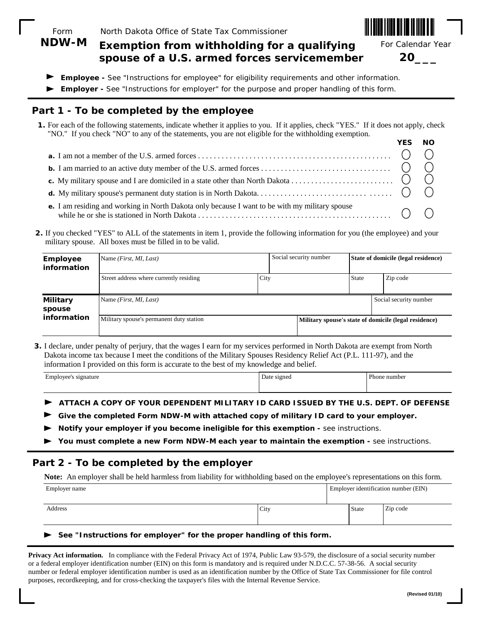Form North Dakota Office of State Tax Commissioner

#### **Exemption from withholding for a qualifying spouse of a U.S. armed forces servicemember NDW-M**

For Calendar Year

**20\_\_\_**

- **Employee** See "Instructions for employee" for eligibility requirements and other information.
- **Employer** See "Instructions for employer" for the purpose and proper handling of this form.

## **Part 1 - To be completed by the employee**

**1.** For each of the following statements, indicate whether it applies to you. If it applies, check "YES." If it does not apply, check "NO." If you check "NO" to any of the statements, you are not eligible for the withholding exemption.

| YES NO |  |
|--------|--|
|        |  |
|        |  |
|        |  |
|        |  |
|        |  |

**2.** If you checked "YES" to ALL of the statements in item 1, provide the following information for you (the employee) and your military spouse. All boxes must be filled in to be valid.

| <b>Employee</b><br>information | Name <i>(First, MI, Last)</i>            |      | Social security number |       | State of domicile (legal residence)                   |  |
|--------------------------------|------------------------------------------|------|------------------------|-------|-------------------------------------------------------|--|
|                                | Street address where currently residing  | City |                        | State | Zip code                                              |  |
| <b>Military</b><br>spouse      | Name <i>(First, MI, Last)</i>            |      |                        |       | Social security number                                |  |
| information                    | Military spouse's permanent duty station |      |                        |       | Military spouse's state of domicile (legal residence) |  |

**3.** I declare, under penalty of perjury, that the wages I earn for my services performed in North Dakota are exempt from North Dakota income tax because I meet the conditions of the Military Spouses Residency Relief Act (P.L. 111-97), and the information I provided on this form is accurate to the best of my knowledge and belief.

| signature<br>01100 | signed<br>Date sign | $\mathbf{r}$<br>number<br>Phone |
|--------------------|---------------------|---------------------------------|
|                    |                     |                                 |

- **ATTACH A COPY OF YOUR DEPENDENT MILITARY ID CARD ISSUED BY THE U.S. DEPT. OF DEFENSE**
- **Give the completed Form NDW-M with attached copy of military ID card to your employer.**
- **Notify your employer if you become ineligible for this exemption -** see instructions.
- You must complete a new Form NDW-M each year to maintain the exemption see instructions.

#### **Part 2 - To be completed by the employer**

**Note:** An employer shall be held harmless from liability for withholding based on the employee's representations on this form.

| Employer name |      | Employer identification number (EIN) |          |  |
|---------------|------|--------------------------------------|----------|--|
| Address       | City | <b>State</b>                         | Zip code |  |

#### **See "Instructions for employer" for the proper handling of this form.**

**Privacy Act information.** In compliance with the Federal Privacy Act of 1974, Public Law 93-579, the disclosure of a social security number or a federal employer identification number (EIN) on this form is mandatory and is required under N.D.C.C. 57-38-56. A social security number or federal employer identification number is used as an identification number by the Office of State Tax Commissioner for file control purposes, recordkeeping, and for cross-checking the taxpayer's files with the Internal Revenue Service.